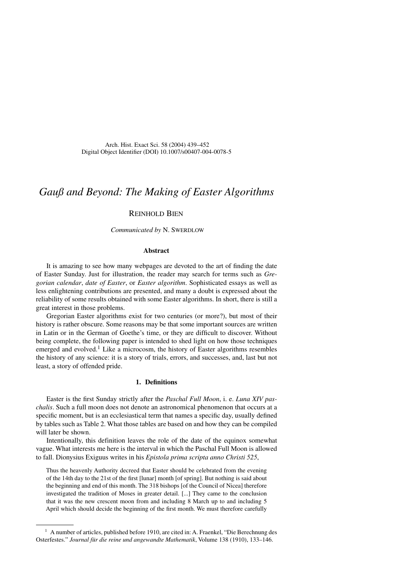# *Gauß and Beyond: The Making of Easter Algorithms*

# Reinhold Bien

*Communicated by N. SWERDLOW* 

# **Abstract**

It is amazing to see how many webpages are devoted to the art of finding the date of Easter Sunday. Just for illustration, the reader may search for terms such as *Gregorian calendar*, *date of Easter*, or *Easter algorithm*. Sophisticated essays as well as less enlightening contributions are presented, and many a doubt is expressed about the reliability of some results obtained with some Easter algorithms. In short, there is still a great interest in those problems.

Gregorian Easter algorithms exist for two centuries (or more?), but most of their history is rather obscure. Some reasons may be that some important sources are written in Latin or in the German of Goethe's time, or they are difficult to discover. Without being complete, the following paper is intended to shed light on how those techniques emerged and evolved.<sup>1</sup> Like a microcosm, the history of Easter algorithms resembles the history of any science: it is a story of trials, errors, and successes, and, last but not least, a story of offended pride.

# **1. Definitions**

Easter is the first Sunday strictly after the *Paschal Full Moon*, i. e. *Luna XIV paschalis*. Such a full moon does not denote an astronomical phenomenon that occurs at a specific moment, but is an ecclesiastical term that names a specific day, usually defined by tables such as Table 2. What those tables are based on and how they can be compiled will later be shown.

Intentionally, this definition leaves the role of the date of the equinox somewhat vague. What interests me here is the interval in which the Paschal Full Moon is allowed to fall. Dionysius Exiguus writes in his *Epistola prima scripta anno Christi 525*,

Thus the heavenly Authority decreed that Easter should be celebrated from the evening of the 14th day to the 21st of the first [lunar] month [of spring]. But nothing is said about the beginning and end of this month. The 318 bishops [of the Council of Nicea] therefore investigated the tradition of Moses in greater detail. [...] They came to the conclusion that it was the new crescent moon from and including 8 March up to and including 5 April which should decide the beginning of the first month. We must therefore carefully

 $<sup>1</sup>$  A number of articles, published before 1910, are cited in: A. Fraenkel, "Die Berechnung des</sup> Osterfestes." *Journal für die reine und angewandte Mathematik*, Volume 138 (1910), 133–146.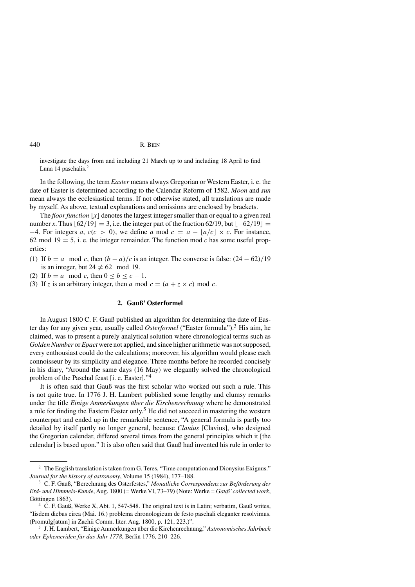investigate the days from and including 21 March up to and including 18 April to find Luna 14 paschalis.<sup>2</sup>

In the following, the term *Easter* means always Gregorian or Western Easter, i. e. the date of Easter is determined according to the Calendar Reform of 1582. *Moon* and *sun* mean always the ecclesiastical terms. If not otherwise stated, all translations are made by myself. As above, textual explanations and omissions are enclosed by brackets.

The *floor function*  $\lfloor x \rfloor$  denotes the largest integer smaller than or equal to a given real number *x*. Thus  $[62/19] = 3$ , i.e. the integer part of the fraction 62/19, but  $[-62/19] =$  $-4$ . For integers *a*,  $c(c > 0)$ , we define *a* mod  $c = a - \lfloor a/c \rfloor \times c$ . For instance, 62 mod  $19 = 5$ , i. e. the integer remainder. The function mod *c* has some useful properties:

- (1) If  $b = a \mod c$ , then  $(b a)/c$  is an integer. The converse is false:  $\frac{24 62}{19}$ is an integer, but  $24 \neq 62 \mod 19$ .
- (2) If  $b = a \mod c$ , then  $0 \le b \le c 1$ .
- (3) If *z* is an arbitrary integer, then *a* mod  $c = (a + z \times c)$  mod *c*.

# **2. Gauß' Osterformel**

In August 1800 C. F. Gauß published an algorithm for determining the date of Easter day for any given year, usually called *Osterformel* ("Easter formula").<sup>3</sup> His aim, he claimed, was to present a purely analytical solution where chronological terms such as *Golden Number* or *Epact* were not applied, and since higher arithmetic was not supposed, every enthousiast could do the calculations; moreover, his algorithm would please each connoisseur by its simplicity and elegance. Three months before he recorded concisely in his diary, "Around the same days (16 May) we elegantly solved the chronological problem of the Paschal feast [i. e. Easter]."<sup>4</sup>

It is often said that Gauß was the first scholar who worked out such a rule. This is not quite true. In 1776 J. H. Lambert published some lengthy and clumsy remarks under the title *Einige Anmerkungen über die Kirchenrechnung* where he demonstrated a rule for finding the Eastern Easter only.<sup>5</sup> He did not succeed in mastering the western counterpart and ended up in the remarkable sentence, "A general formula is partly too detailed by itself partly no longer general, because *Clauius* [Clavius], who designed the Gregorian calendar, differed several times from the general principles which it [the calendar] is based upon." It is also often said that Gauß had invented his rule in order to

<sup>&</sup>lt;sup>2</sup> The English translation is taken from G. Teres, "Time computation and Dionysius Exiguus." *Journal for the history of astronomy*, Volume 15 (1984), 177–188.

<sup>3</sup> C. F. Gauß, "Berechnung des Osterfestes," *Monatliche Correspondenz zur Beförderung der Erd- und Himmels-Kunde*, Aug. 1800 (= Werke VI, 73–79) (Note: Werke = *Gauß'collected work*, Göttingen 1863).

<sup>4</sup> C. F. Gauß, Werke X, Abt. 1, 547-548. The original text is in Latin; verbatim, Gauß writes, "Iisdem diebus circa (Mai. 16.) problema chronologicum de festo paschali eleganter resolvimus. (Promulg[atum] in Zachii Comm. liter. Aug. 1800, p. 121, 223.)".

<sup>5</sup> J. H. Lambert, "Einige Anmerkungen über die Kirchenrechnung," *Astronomisches Jahrbuch oder Ephemeriden für das Jahr 1778*, Berlin 1776, 210–226.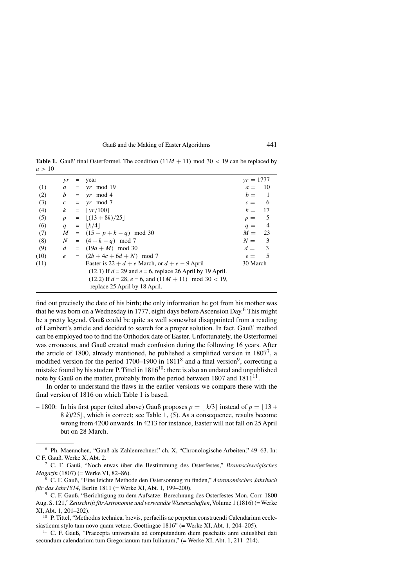|      | $\gamma r$       | = | year                                                             | $yr = 1777$                       |
|------|------------------|---|------------------------------------------------------------------|-----------------------------------|
| (1)  | $\mathfrak{a}$   |   | $= v r \mod 19$                                                  | - 10<br>$a =$                     |
| (2)  | b                |   | $= yr \mod 4$                                                    | $b =$<br>$\blacksquare$           |
| (3)  | $\mathcal{C}$    |   | $= v r \mod 7$                                                   | $c = 6$                           |
| (4)  | $\boldsymbol{k}$ |   | $=  vr/100 $                                                     | $k = 17$                          |
| (5)  | $\boldsymbol{p}$ |   | $=  (13 + 8k)/25 $                                               | $\overline{\phantom{0}}$<br>$p =$ |
| (6)  | q                |   | $=  k/4 $                                                        | $\overline{4}$<br>$q =$           |
| (7)  | M                |   | $= (15 - p + k - q) \mod{30}$                                    | $M = 23$                          |
| (8)  | N                |   | $= (4+k-q) \mod 7$                                               | $N = 3$                           |
| (9)  | d                |   | $= (19a + M) \mod 30$                                            | $d = 3$                           |
| (10) | $\mathcal{C}$    |   | $= (2b+4c+6d+N) \mod 7$                                          | - 5<br>$e =$                      |
| (11) |                  |   | Easter is $22 + d + e$ March, or $d + e - 9$ April               | 30 March                          |
|      |                  |   | $(12.1)$ If $d = 29$ and $e = 6$ , replace 26 April by 19 April. |                                   |
|      |                  |   | $(12.2)$ If $d = 28$ , $e = 6$ , and $(11M + 11)$ mod 30 < 19,   |                                   |
|      |                  |   | replace 25 April by 18 April.                                    |                                   |
|      |                  |   |                                                                  |                                   |

**Table 1.** Gauß' final Osterformel. The condition  $(11M + 11)$  mod 30 < 19 can be replaced by  $a > 10$ 

find out precisely the date of his birth; the only information he got from his mother was that he was born on a Wednesday in 1777, eight days before Ascension Day.<sup>6</sup> This might be a pretty legend. Gauß could be quite as well somewhat disappointed from a reading of Lambert's article and decided to search for a proper solution. In fact, Gauß' method can be employed too to find the Orthodox date of Easter. Unfortunately, the Osterformel was erroneous, and Gauß created much confusion during the following 16 years. After the article of 1800, already mentioned, he published a simplified version in  $1807^7$ , a modified version for the period 1700–1900 in  $1811<sup>8</sup>$  and a final version<sup>9</sup>, correcting a mistake found by his student P. Tittel in  $1816^{10}$ ; there is also an undated and unpublished note by Gauß on the matter, probably from the period between  $1807$  and  $1811^{11}$ .

In order to understand the flaws in the earlier versions we compare these with the final version of 1816 on which Table 1 is based.

 $-$  1800: In his first paper (cited above) Gauß proposes  $p = \lfloor k/3 \rfloor$  instead of  $p = \lfloor 13 + \lfloor k/3 \rfloor$ 8 *k*)/25], which is correct; see Table 1, (5). As a consequence, results become wrong from 4200 onwards. In 4213 for instance, Easter will not fall on 25 April but on 28 March.

<sup>6</sup> Ph. Maennchen, "Gauß als Zahlenrechner," ch. X, "Chronologische Arbeiten," 49–63. In: C F. Gauß, Werke X, Abt. 2.

<sup>7</sup> C. F. Gauß, "Noch etwas über die Bestimmung des Osterfestes," *Braunschweigisches Magazin* (1807) (= Werke VI, 82–86).

<sup>8</sup> C. F. Gauß, "Eine leichte Methode den Ostersonntag zu finden," *Astronomisches Jahrbuch für das Jahr1814*, Berlin 1811 (= Werke XI, Abt. 1, 199–200).

<sup>9</sup> C. F. Gauß, "Berichtigung zu dem Aufsatze: Berechnung des Osterfestes Mon. Corr. 1800 Aug. S. 121," *Zeitschrift für Astronomie und verwandte Wissenschaften*,Volume 1 (1816) (= Werke XI, Abt. 1, 201–202).

<sup>&</sup>lt;sup>10</sup> P. Tittel, "Methodus technica, brevis, perfacilis ac perpetua construendi Calendarium ecclesiasticum stylo tam novo quam vetere, Goettingae 1816" (= Werke XI, Abt. 1, 204–205).

<sup>11</sup> C. F. Gauß, "Praecepta universalia ad computandum diem paschatis anni cuiuslibet dati secundum calendarium tum Gregorianum tum Iulianum," (= Werke XI, Abt. 1, 211–214).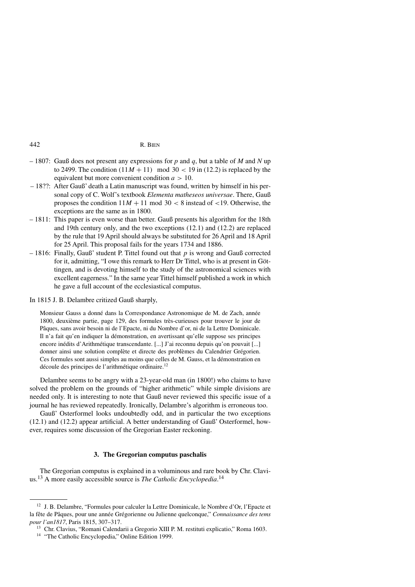- 1807: Gauß does not present any expressions for *p* and *q*, but a table of *M* and *N* up to 2499. The condition  $(11M + 11)$  mod  $30 < 19$  in (12.2) is replaced by the equivalent but more convenient condition *a >* 10.
- 18??: After Gauß' death a Latin manuscript was found, written by himself in his personal copy of C. Wolf's textbook *Elementa matheseos universae*. There, Gauß proposes the condition  $11M + 11 \text{ mod } 30 < 8$  instead of  $< 19$ . Otherwise, the exceptions are the same as in 1800.
- 1811: This paper is even worse than better. Gauß presents his algorithm for the 18th and 19th century only, and the two exceptions (12.1) and (12.2) are replaced by the rule that 19 April should always be substituted for 26 April and 18 April for 25 April. This proposal fails for the years 1734 and 1886.
- 1816: Finally, Gauß' student P. Tittel found out that *p* is wrong and Gauß corrected for it, admitting, "I owe this remark to Herr Dr Tittel, who is at present in Göttingen, and is devoting himself to the study of the astronomical sciences with excellent eagerness." In the same year Tittel himself published a work in which he gave a full account of the ecclesiastical computus.

# In 1815 J. B. Delambre critized Gauß sharply,

Monsieur Gauss a donné dans la Correspondance Astronomique de M. de Zach, année 1800, deuxième partie, page 129, des formules très-curieuses pour trouver le jour de Pâques, sans avoir besoin ni de l'Epacte, ni du Nombre d'or, ni de la Lettre Dominicale. Il n'a fait qu'en indiquer la démonstration, en avertissant qu'elle suppose ses principes encore inédits d'Arithmétique transcendante. [...] J'ai reconnu depuis qu'on pouvait [...] donner ainsi une solution complète et directe des problèmes du Calendrier Grégorien. Ces formules sont aussi simples au moins que celles de M. Gauss, et la démonstration en découle des principes de l'arithmétique ordinaire.<sup>12</sup>

Delambre seems to be angry with a 23-year-old man (in 1800!) who claims to have solved the problem on the grounds of "higher arithmetic" while simple divisions are needed only. It is interesting to note that Gauß never reviewed this specific issue of a journal he has reviewed repeatedly. Ironically, Delambre's algorithm is erroneous too.

Gauß' Osterformel looks undoubtedly odd, and in particular the two exceptions (12.1) and (12.2) appear artificial. A better understanding of Gauß' Osterformel, however, requires some discussion of the Gregorian Easter reckoning.

# **3. The Gregorian computus paschalis**

The Gregorian computus is explained in a voluminous and rare book by Chr. Clavius.<sup>13</sup> A more easily accessible source is *The Catholic Encyclopedia*. 14

<sup>&</sup>lt;sup>12</sup> J. B. Delambre, "Formules pour calculer la Lettre Dominicale, le Nombre d'Or, l'Epacte et la fête de Pâques, pour une année Grégorienne ou Julienne quelconque," *Connaissance des tems pour l'an1817*, Paris 1815, 307–317.

<sup>&</sup>lt;sup>13</sup> Chr. Clavius, "Romani Calendarii a Gregorio XIII P. M. restituti explicatio," Roma 1603.

<sup>&</sup>lt;sup>14</sup> "The Catholic Encyclopedia," Online Edition 1999.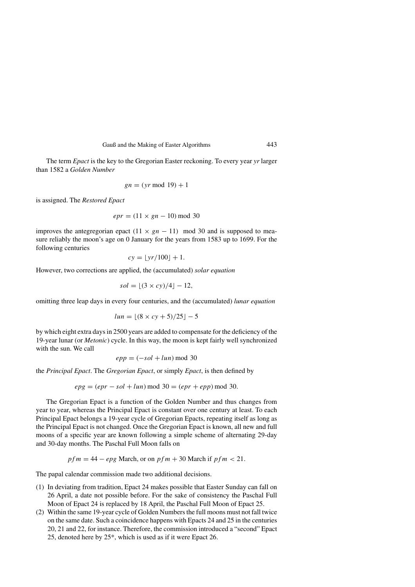The term *Epact* is the key to the Gregorian Easter reckoning. To every year *yr* larger than 1582 a *Golden Number*

$$
gn = (yr \bmod 19) + 1
$$

is assigned. The *Restored Epact*

$$
epr = (11 \times gn - 10) \mod 30
$$

improves the antegregorian epact  $(11 \times gn - 11)$  mod 30 and is supposed to measure reliably the moon's age on 0 January for the years from 1583 up to 1699. For the following centuries

$$
cy = \lfloor yr/100 \rfloor + 1.
$$

However, two corrections are applied, the (accumulated) *solar equation*

$$
sol = \lfloor (3 \times cy)/4 \rfloor - 12,
$$

omitting three leap days in every four centuries, and the (accumulated) *lunar equation*

$$
lun = \lfloor (8 \times cy + 5)/25 \rfloor - 5
$$

by which eight extra days in 2500 years are added to compensate for the deficiency of the 19-year lunar (or *Metonic*) cycle. In this way, the moon is kept fairly well synchronized with the sun. We call

$$
epp = (-sol + lun) \bmod 30
$$

the *Principal Epact*. The *Gregorian Epact*, or simply *Epact*, is then defined by

$$
epg = (epr - sol + lun) \bmod 30 = (epr + epp) \bmod 30.
$$

The Gregorian Epact is a function of the Golden Number and thus changes from year to year, whereas the Principal Epact is constant over one century at least. To each Principal Epact belongs a 19-year cycle of Gregorian Epacts, repeating itself as long as the Principal Epact is not changed. Once the Gregorian Epact is known, all new and full moons of a specific year are known following a simple scheme of alternating 29-day and 30-day months. The Paschal Full Moon falls on

$$
pfm = 44 - epg March, or on pfm + 30 March if pfm < 21.
$$

The papal calendar commission made two additional decisions.

- (1) In deviating from tradition, Epact 24 makes possible that Easter Sunday can fall on 26 April, a date not possible before. For the sake of consistency the Paschal Full Moon of Epact 24 is replaced by 18 April, the Paschal Full Moon of Epact 25.
- (2) Within the same 19-year cycle of Golden Numbers the full moons must not fall twice on the same date. Such a coincidence happens with Epacts 24 and 25 in the centuries 20, 21 and 22, for instance. Therefore, the commission introduced a "second" Epact 25, denoted here by 25\*, which is used as if it were Epact 26.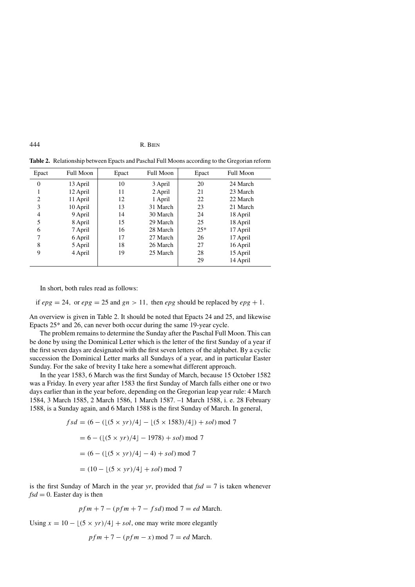| Epact            | <b>Full Moon</b> | Epact | <b>Full Moon</b> | Epact | <b>Full Moon</b> |
|------------------|------------------|-------|------------------|-------|------------------|
| $\boldsymbol{0}$ | 13 April         | 10    | 3 April          | 20    | 24 March         |
| 1                | 12 April         | 11    | 2 April          | 21    | 23 March         |
| 2                | 11 April         | 12    | 1 April          | 22    | 22 March         |
| 3                | 10 April         | 13    | 31 March         | 23    | 21 March         |
| 4                | 9 April          | 14    | 30 March         | 24    | 18 April         |
| 5                | 8 April          | 15    | 29 March         | 25    | 18 April         |
| 6                | 7 April          | 16    | 28 March         | $25*$ | 17 April         |
| 7                | 6 April          | 17    | 27 March         | 26    | 17 April         |
| 8                | 5 April          | 18    | 26 March         | 27    | 16 April         |
| 9                | 4 April          | 19    | 25 March         | 28    | 15 April         |
|                  |                  |       |                  | 29    | 14 April         |

**Table 2.** Relationship between Epacts and Paschal Full Moons according to the Gregorian reform

In short, both rules read as follows:

if  $epg = 24$ , or  $epg = 25$  and  $gn > 11$ , then  $epg$  should be replaced by  $epg + 1$ .

An overview is given in Table 2. It should be noted that Epacts 24 and 25, and likewise Epacts 25\* and 26, can never both occur during the same 19-year cycle.

The problem remains to determine the Sunday after the Paschal Full Moon. This can be done by using the Dominical Letter which is the letter of the first Sunday of a year if the first seven days are designated with the first seven letters of the alphabet. By a cyclic succession the Dominical Letter marks all Sundays of a year, and in particular Easter Sunday. For the sake of brevity I take here a somewhat different approach.

In the year 1583, 6 March was the first Sunday of March, because 15 October 1582 was a Friday. In every year after 1583 the first Sunday of March falls either one or two days earlier than in the year before, depending on the Gregorian leap year rule: 4 March 1584, 3 March 1585, 2 March 1586, 1 March 1587. –1 March 1588, i. e. 28 February 1588, is a Sunday again, and 6 March 1588 is the first Sunday of March. In general,

$$
fsd = (6 - (\lfloor (5 \times yr)/4 \rfloor - \lfloor (5 \times 1583)/4 \rfloor) + sol) \mod 7
$$
  
= 6 - (\lfloor (5 \times yr)/4 \rfloor - 1978) + sol) mod 7  
= (6 - (\lfloor (5 \times yr)/4 \rfloor - 4) + sol) mod 7  
= (10 - \lfloor (5 \times yr)/4 \rfloor + sol) mod 7

is the first Sunday of March in the year *yr*, provided that  $fsd = 7$  is taken whenever  $fsd = 0$ . Easter day is then

$$
pfm + 7 - (pfm + 7 - fsd) \bmod 7 = ed \bmod 7.
$$

Using  $x = 10 - \lfloor (5 \times yr)/4 \rfloor + sol$ , one may write more elegantly

$$
pfm + 7 - (pfm - x) \bmod 7 = ed \bmod 8.
$$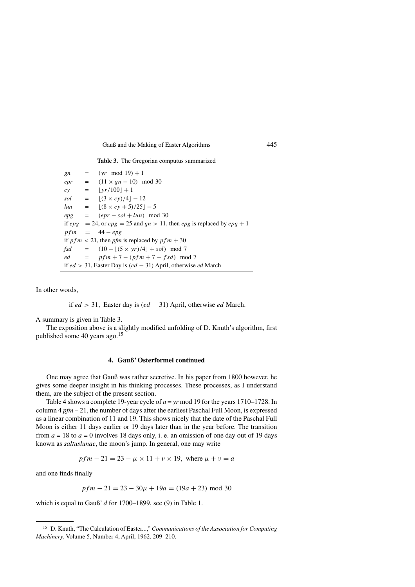| gn  | $=$ (yr mod 19) + 1                                                               |
|-----|-----------------------------------------------------------------------------------|
| epr | $= (11 \times gn - 10) \mod 30$                                                   |
| cy  | $=$ $ vr/100  + 1$                                                                |
|     | $sol =  (3 \times cy)/4  - 12$                                                    |
|     | $lun = (8 \times cv + 5)/25$   $-5$                                               |
|     | $epg = (epr - sol + lun) \mod 30$                                                 |
|     | if $epg = 24$ , or $epg = 25$ and $gn > 11$ , then $epg$ is replaced by $epg + 1$ |
|     | $pfm = 44 - epg$                                                                  |
|     | if $pfm < 21$ , then pfm is replaced by $pfm + 30$                                |
|     | $fsd = (10 - [(5 \times yr)/4] + sol) \mod 7$                                     |
|     | $ed = pfm + 7 - (pfm + 7 - fsd) \mod 7$                                           |
|     | if $ed > 31$ , Easter Day is $(ed - 31)$ April, otherwise ed March                |

**Table 3.** The Gregorian computus summarized

In other words,

if *ed >* 31*,* Easter day is *(ed* − 31*)* April, otherwise *ed* March*.*

A summary is given in Table 3.

The exposition above is a slightly modified unfolding of D. Knuth's algorithm, first published some 40 years ago.<sup>15</sup>

# **4. Gauß' Osterformel continued**

One may agree that Gauß was rather secretive. In his paper from 1800 however, he gives some deeper insight in his thinking processes. These processes, as I understand them, are the subject of the present section.

Table 4 shows a complete 19-year cycle of  $a = yr$  mod 19 for the years 1710–1728. In column 4 *pfm* – 21, the number of days after the earliest Paschal Full Moon, is expressed as a linear combination of 11 and 19. This shows nicely that the date of the Paschal Full Moon is either 11 days earlier or 19 days later than in the year before. The transition from  $a = 18$  to  $a = 0$  involves 18 days only, i. e. an omission of one day out of 19 days known as *saltuslunae*, the moon's jump. In general, one may write

$$
pfm - 21 = 23 - \mu \times 11 + \nu \times 19, \text{ where } \mu + \nu = a
$$

and one finds finally

$$
pfm - 21 = 23 - 30\mu + 19a = (19a + 23) \text{ mod } 30
$$

which is equal to Gauß' *d* for 1700–1899, see (9) in Table 1.

<sup>15</sup> D. Knuth, "The Calculation of Easter...," *Communications of the Association for Computing Machinery*, Volume 5, Number 4, April, 1962, 209–210.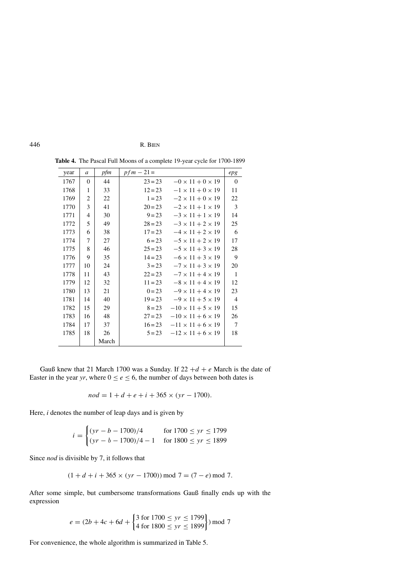| year | a              | pfm   | $pfm-21=$ |                               | epg            |
|------|----------------|-------|-----------|-------------------------------|----------------|
| 1767 | $\theta$       | 44    | $23 = 23$ | $-0 \times 11 + 0 \times 19$  | $\theta$       |
| 1768 | 1              | 33    | $12 = 23$ | $-1 \times 11 + 0 \times 19$  | 11             |
| 1769 | 2              | 22    | $1 = 23$  | $-2 \times 11 + 0 \times 19$  | 22             |
| 1770 | 3              | 41    | $20 = 23$ | $-2 \times 11 + 1 \times 19$  | 3              |
| 1771 | $\overline{4}$ | 30    | $9 = 23$  | $-3 \times 11 + 1 \times 19$  | 14             |
| 1772 | 5              | 49    | $28 = 23$ | $-3 \times 11 + 2 \times 19$  | 25             |
| 1773 | 6              | 38    | $17 = 23$ | $-4 \times 11 + 2 \times 19$  | 6              |
| 1774 | 7              | 27    | $6 = 23$  | $-5 \times 11 + 2 \times 19$  | 17             |
| 1775 | 8              | 46    | $25 = 23$ | $-5 \times 11 + 3 \times 19$  | 28             |
| 1776 | 9              | 35    | $14 = 23$ | $-6 \times 11 + 3 \times 19$  | 9              |
| 1777 | 10             | 24    | $3 = 23$  | $-7 \times 11 + 3 \times 19$  | 20             |
| 1778 | 11             | 43    | $22 = 23$ | $-7 \times 11 + 4 \times 19$  | $\mathbf{1}$   |
| 1779 | 12             | 32    | $11 = 23$ | $-8 \times 11 + 4 \times 19$  | 12             |
| 1780 | 13             | 21    | $0 = 23$  | $-9 \times 11 + 4 \times 19$  | 23             |
| 1781 | 14             | 40    | $19 = 23$ | $-9 \times 11 + 5 \times 19$  | $\overline{4}$ |
| 1782 | 15             | 29    | $8 = 23$  | $-10 \times 11 + 5 \times 19$ | 15             |
| 1783 | 16             | 48    | $27 = 23$ | $-10 \times 11 + 6 \times 19$ | 26             |
| 1784 | 17             | 37    | $16 = 23$ | $-11 \times 11 + 6 \times 19$ | $\overline{7}$ |
| 1785 | 18             | 26    | $5 = 23$  | $-12 \times 11 + 6 \times 19$ | 18             |
|      |                | March |           |                               |                |

**Table 4.** The Pascal Full Moons of a complete 19-year cycle for 1700-1899

Gauß knew that 21 March 1700 was a Sunday. If  $22 + d + e$  March is the date of Easter in the year *yr*, where  $0 \le e \le 6$ , the number of days between both dates is

$$
nod = 1 + d + e + i + 365 \times (yr - 1700).
$$

Here, *i* denotes the number of leap days and is given by

$$
i = \begin{cases} (yr - b - 1700)/4 & \text{for } 1700 \le yr \le 1799 \\ (yr - b - 1700)/4 - 1 & \text{for } 1800 \le yr \le 1899 \end{cases}
$$

Since *nod* is divisible by 7, it follows that

$$
(1 + d + i + 365 \times (yr - 1700)) \bmod 7 = (7 - e) \bmod 7.
$$

After some simple, but cumbersome transformations Gauß finally ends up with the expression

$$
e = (2b + 4c + 6d + \begin{cases} 3 \text{ for } 1700 \le yr \le 1799 \\ 4 \text{ for } 1800 \le yr \le 1899 \end{cases}) \text{ mod } 7
$$

For convenience, the whole algorithm is summarized in Table 5.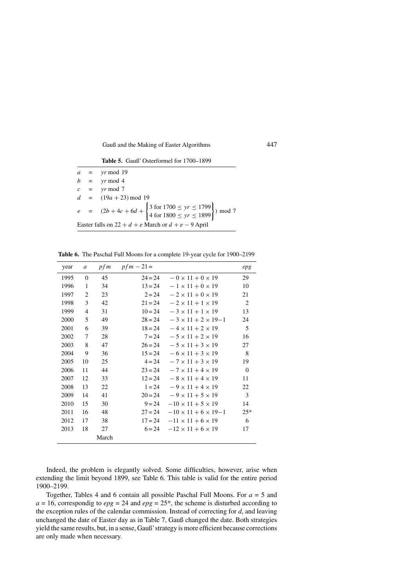**Table 5.** Gauß' Osterformel for 1700–1899

|                                                         |  | $a = yr \mod 19$                                                                                                                       |  |  |  |
|---------------------------------------------------------|--|----------------------------------------------------------------------------------------------------------------------------------------|--|--|--|
|                                                         |  | $b = yr \mod 4$                                                                                                                        |  |  |  |
|                                                         |  |                                                                                                                                        |  |  |  |
|                                                         |  | $c = yr \mod 7$                                                                                                                        |  |  |  |
|                                                         |  | $d = (19a + 23) \text{ mod } 19$                                                                                                       |  |  |  |
|                                                         |  | e = $(2b + 4c + 6d + \begin{cases} 3 \text{ for } 1700 \leq yr \leq 1799 \\ 4 \text{ for } 1800 \leq yr \leq 1899 \end{cases}$ ) mod 7 |  |  |  |
| Easter falls on $22 + d + e$ March or $d + e - 9$ April |  |                                                                                                                                        |  |  |  |

**Table 6.** The Paschal Full Moons for a complete 19-year cycle for 1900–2199

| year | a              | p f m | $pfm - 21 =$ |                                   | epg      |
|------|----------------|-------|--------------|-----------------------------------|----------|
| 1995 | $\Omega$       | 45    | $24 = 24$    | $-0 \times 11 + 0 \times 19$      | 29       |
| 1996 | 1              | 34    | $13 = 24$    | $-1 \times 11 + 0 \times 19$      | 10       |
| 1997 | 2              | 23    | $2 = 24$     | $-2 \times 11 + 0 \times 19$      | 21       |
| 1998 | 3              | 42    | $21 = 24$    | $-2 \times 11 + 1 \times 19$      | 2        |
| 1999 | $\overline{4}$ | 31    | $10 = 24$    | $-3 \times 11 + 1 \times 19$      | 13       |
| 2000 | 5              | 49    | $28 = 24$    | $-3 \times 11 + 2 \times 19 - 1$  | 24       |
| 2001 | 6              | 39    | $18 = 24$    | $-4 \times 11 + 2 \times 19$      | 5        |
| 2002 | 7              | 28    | $7 = 24$     | $-5 \times 11 + 2 \times 19$      | 16       |
| 2003 | 8              | 47    | $26 = 24$    | $-5 \times 11 + 3 \times 19$      | 27       |
| 2004 | 9              | 36    | $15 = 24$    | $-6 \times 11 + 3 \times 19$      | 8        |
| 2005 | 10             | 25    | $4 = 24$     | $-7 \times 11 + 3 \times 19$      | 19       |
| 2006 | 11             | 44    | $23 = 24$    | $-7 \times 11 + 4 \times 19$      | $\Omega$ |
| 2007 | 12             | 33    | $12 = 24$    | $-8 \times 11 + 4 \times 19$      | 11       |
| 2008 | 13             | 22    | $1 = 24$     | $-9 \times 11 + 4 \times 19$      | 22       |
| 2009 | 14             | 41    | $20 = 24$    | $-9 \times 11 + 5 \times 19$      | 3        |
| 2010 | 15             | 30    | $9 = 24$     | $-10 \times 11 + 5 \times 19$     | 14       |
| 2011 | 16             | 48    | $27 = 24$    | $-10 \times 11 + 6 \times 19 - 1$ | $25*$    |
| 2012 | 17             | 38    | $17 = 24$    | $-11 \times 11 + 6 \times 19$     | 6        |
| 2013 | 18             | 27    | $6 = 24$     | $-12 \times 11 + 6 \times 19$     | 17       |
|      |                | March |              |                                   |          |

Indeed, the problem is elegantly solved. Some difficulties, however, arise when extending the limit beyond 1899, see Table 6. This table is valid for the entire period 1900–2199.

Together, Tables 4 and 6 contain all possible Paschal Full Moons. For *a* = 5 and  $a = 16$ , correspondig to  $epg = 24$  and  $epg = 25$ <sup>\*</sup>, the scheme is disturbed according to the exception rules of the calendar commission. Instead of correcting for *d*, and leaving unchanged the date of Easter day as in Table 7, Gauß changed the date. Both strategies yield the same results, but, in a sense, Gauß'strategy is more efficient because corrections are only made when necessary.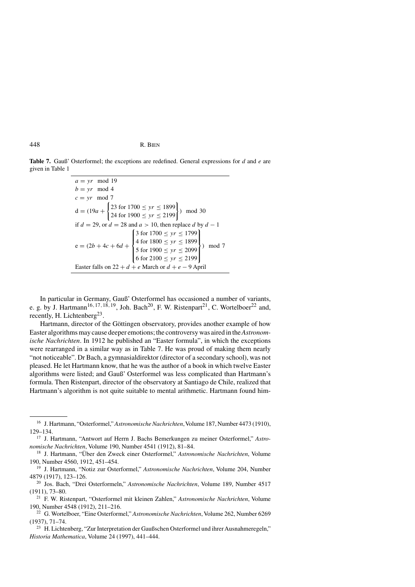**Table 7.** Gauß' Osterformel; the exceptions are redefined. General expressions for *d* and *e* are given in Table 1

> $a = yr$  mod 19  $b = yr$  mod 4  $c = yr \mod 7$  $d = (19a +$  $\begin{cases} 23 \text{ for } 1700 \leq yr \leq 1899 \\ 24 \text{ for } 1900 \leq yr \leq 2199 \end{cases}$ *)* mod 30 if  $d = 29$ , or  $d = 28$  and  $a > 10$ , then replace  $d$  by  $d - 1$  $e = (2b + 4c + 6d +$  $\sqrt{ }$  $\Big\}$  $\overline{\mathcal{L}}$ 3 for  $1700 \leq yr \leq 1799$ 4 for  $1800 \leq yr \leq 1899$ 5 for  $1900 \leq yr \leq 2099$ 6 for  $2100 \leq yr \leq 2199$ 1  $\overline{\mathcal{L}}$  $\bigg\}$ *)* mod 7 Easter falls on  $22 + d + e$  March or  $d + e - 9$  April

In particular in Germany, Gauß' Osterformel has occasioned a number of variants, e. g. by J. Hartmann<sup>16, 17, 18, 19, Joh. Bach<sup>20</sup>, F. W. Ristenpart<sup>21</sup>, C. Wortelboer<sup>22</sup> and,</sup> recently, H. Lichtenberg<sup>23</sup>.

Hartmann, director of the Göttingen observatory, provides another example of how Easter algorithms may cause deeper emotions; the controversy was aired in the*Astronomische Nachrichten*. In 1912 he published an "Easter formula", in which the exceptions were rearranged in a similar way as in Table 7. He was proud of making them nearly "not noticeable". Dr Bach, a gymnasialdirektor (director of a secondary school), was not pleased. He let Hartmann know, that he was the author of a book in which twelve Easter algorithms were listed; and Gauß' Osterformel was less complicated than Hartmann's formula. Then Ristenpart, director of the observatory at Santiago de Chile, realized that Hartmann's algorithm is not quite suitable to mental arithmetic. Hartmann found him-

<sup>&</sup>lt;sup>16</sup> J. Hartmann, "Osterformel," *Astronomische Nachrichten*, Volume 187, Number 4473 (1910), 129–134.

<sup>17</sup> J. Hartmann, "Antwort auf Herrn J. Bachs Bemerkungen zu meiner Osterformel," *Astronomische Nachrichten*, Volume 190, Number 4541 (1912), 81–84.

<sup>18</sup> J. Hartmann, "Über den Zweck einer Osterformel," *Astronomische Nachrichten*, Volume 190, Number 4560, 1912, 451–454.

<sup>19</sup> J. Hartmann, "Notiz zur Osterformel," *Astronomische Nachrichten*, Volume 204, Number 4879 (1917), 123–126.

<sup>20</sup> Jos. Bach, "Drei Osterformeln," *Astronomische Nachrichten*, Volume 189, Number 4517 (1911), 73–80.

<sup>21</sup> F. W. Ristenpart, "Osterformel mit kleinen Zahlen," *Astronomische Nachrichten*, Volume 190, Number 4548 (1912), 211–216.

<sup>22</sup> G. Wortelboer, "Eine Osterformel," *Astronomische Nachrichten*, Volume 262, Number 6269 (1937), 71–74.

<sup>&</sup>lt;sup>23</sup> H. Lichtenberg, "Zur Interpretation der Gaußschen Osterformel und ihrer Ausnahmeregeln," *Historia Mathematica*, Volume 24 (1997), 441–444.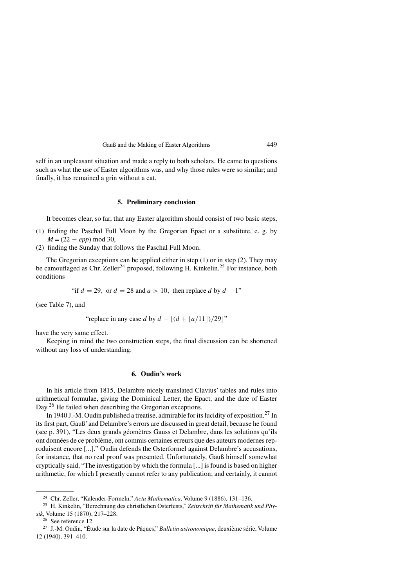self in an unpleasant situation and made a reply to both scholars. He came to questions such as what the use of Easter algorithms was, and why those rules were so similar; and finally, it has remained a grin without a cat.

### **5. Preliminary conclusion**

It becomes clear, so far, that any Easter algorithm should consist of two basic steps,

- (1) finding the Paschal Full Moon by the Gregorian Epact or a substitute, e. g. by *M* = (22 − *epp*) mod 30,
- (2) finding the Sunday that follows the Paschal Full Moon.

The Gregorian exceptions can be applied either in step (1) or in step (2). They may be camouflaged as Chr. Zeller<sup>24</sup> proposed, following H. Kinkelin.<sup>25</sup> For instance, both conditions

"if  $d = 29$ , or  $d = 28$  and  $a > 10$ , then replace  $d$  by  $d - 1$ "

(see Table 7), and

"replace in any case 
$$
d
$$
 by  $d - \lfloor (d + \lfloor a/11 \rfloor)/29 \rfloor$ "

have the very same effect.

Keeping in mind the two construction steps, the final discussion can be shortened without any loss of understanding.

# **6. Oudin's work**

In his article from 1815, Delambre nicely translated Clavius' tables and rules into arithmetical formulae, giving the Dominical Letter, the Epact, and the date of Easter Day.<sup>26</sup> He failed when describing the Gregorian exceptions.

In 1940 J.-M. Oudin published a treatise, admirable for its lucidity of exposition.<sup>27</sup> In its first part, Gauß' and Delambre's errors are discussed in great detail, because he found (see p. 391), "Les deux grands géomètres Gauss et Delambre, dans les solutions qu'ils ont données de ce problème, ont commis certaines erreurs que des auteurs modernes reproduisent encore [...]." Oudin defends the Osterformel against Delambre's accusations, for instance, that no real proof was presented. Unfortunately, Gauß himself somewhat cryptically said, "The investigation by which the formula [...] is found is based on higher arithmetic, for which I presently cannot refer to any publication; and certainly, it cannot

<sup>24</sup> Chr. Zeller, "Kalender-Formeln," *Acta Mathematica*, Volume 9 (1886), 131–136.

<sup>25</sup> H. Kinkelin, "Berechnung des christlichen Osterfests," *Zeitschrift für Mathematik und Physik*, Volume 15 (1870), 217–228.

<sup>26</sup> See reference 12.

<sup>&</sup>lt;sup>27</sup> J.-M. Oudin, "Étude sur la date de Pâques," *Bulletin astronomique*, deuxième série, Volume 12 (1940), 391–410.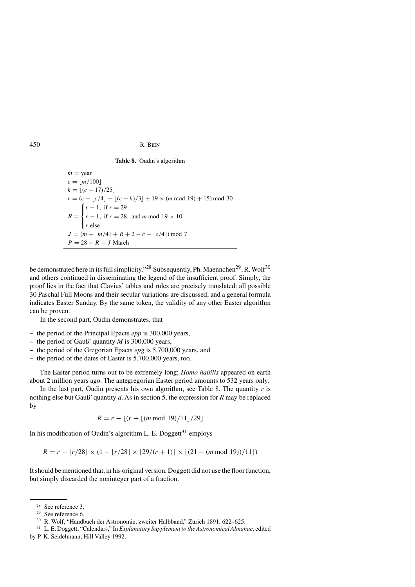**Table 8.** Oudin's algorithm

 $m =$ year  $c = \lfloor m/100 \rfloor$  $k = \lfloor (c - 17)/25 \rfloor$  $r = (c - \lfloor c/4 \rfloor - \lfloor (c - k)/3 \rfloor + 19 \times (m \mod 19) + 15) \mod 30$  $R =$  $\sqrt{ }$  $\mathsf{I}$  $\mathsf{I}$ *r* − 1*,* if *r* = 29 *r* − 1*,* if *r* = 28*,* and *m* mod 19 *>* 10 *r* else  $J = (m + \lfloor m/4 \rfloor + R + 2 - c + \lfloor c/4 \rfloor) \mod 7$ *P* = 28 + *R* − *J* March

be demonstrated here in its full simplicity."<sup>28</sup> Subsequently, Ph. Maennchen<sup>29</sup>, R. Wolf<sup>30</sup> and others continued in disseminating the legend of the insufficient proof. Simply, the proof lies in the fact that Clavius' tables and rules are precisely translated: all possible 30 Paschal Full Moons and their secular variations are discussed, and a general formula indicates Easter Sunday. By the same token, the validity of any other Easter algorithm can be proven.

In the second part, Oudin demonstrates, that

- **–** the period of the Principal Epacts *epp* is 300,000 years,
- **–** the period of Gauß' quantity *M* is 300,000 years,
- **–** the period of the Gregorian Epacts *epg* is 5,700,000 years, and
- **–** the period of the dates of Easter is 5,700,000 years, too.

The Easter period turns out to be extremely long; *Homo habilis* appeared on earth about 2 million years ago. The antegregorian Easter period amounts to 532 years only.

In the last part, Oudin presents his own algorithm, see Table 8. The quantity *r* is nothing else but Gauß' quantity *d*. As in section 5, the expression for *R* may be replaced by

 $R = r - \lfloor (r + \lfloor (m \mod 19)/11 \rfloor / 29 \rfloor$ 

In his modification of Oudin's algorithm L. E. Doggett $31$  employs

 $R = r - \lfloor r/28 \rfloor \times (1 - \lfloor r/28 \rfloor \times \lfloor 29/(r+1) \rfloor \times \lfloor (21 - (m \mod 19))/11 \rfloor)$ 

It should be mentioned that, in his original version, Doggett did not use the floor function, but simply discarded the noninteger part of a fraction.

<sup>28</sup> See reference 3.

<sup>29</sup> See reference 6.

<sup>30</sup> R. Wolf, "Handbuch der Astronomie, zweiter Halbband," Zürich 1891, 622–625.

<sup>31</sup> L. E. Doggett, "Calendars," In *Explanatory Supplement to the Astronomical Almanac*, edited

by P. K. Seidelmann, Hill Valley 1992.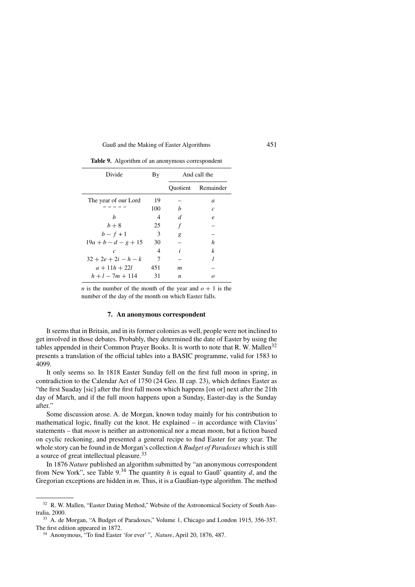| Divide                 | By  | And call the |                    |
|------------------------|-----|--------------|--------------------|
|                        |     |              | Quotient Remainder |
| The year of our Lord   | 19  |              | $\overline{a}$     |
| ,, ,, ,, ,, ,,         | 100 | h            | $\mathcal{C}$      |
| h                      | 4   | d            | $\boldsymbol{e}$   |
| $b+8$                  | 25  | f            |                    |
| $b - f + 1$            | 3   | g            |                    |
| $19a + b - d - g + 15$ | 30  |              | h                  |
| $\mathcal{C}$          | 4   | i            | k                  |
| $32 + 2e + 2i - h - k$ | 7   |              | l                  |
| $a + 11h + 22l$        | 451 | m            |                    |
| $h + l - 7m + 114$     | 31  | n            |                    |

**Table 9.** Algorithm of an anonymous correspondent

*n* is the number of the month of the year and  $\rho + 1$  is the number of the day of the month on which Easter falls.

#### **7. An anonymous correspondent**

It seems that in Britain, and in its former colonies as well, people were not inclined to get involved in those debates. Probably, they determined the date of Easter by using the tables appended in their Common Prayer Books. It is worth to note that R. W. Mallen<sup>32</sup> presents a translation of the official tables into a BASIC programme, valid for 1583 to 4099.

It only seems so. In 1818 Easter Sunday fell on the first full moon in spring, in contradiction to the Calendar Act of 1750 (24 Geo. II cap. 23), which defines Easter as "the first Suaday [sic] after the first full moon which happens [on or] next after the 21th day of March, and if the full moon happens upon a Sunday, Easter-day is the Sunday after."

Some discussion arose. A. de Morgan, known today mainly for his contribution to mathematical logic, finally cut the knot. He explained – in accordance with Clavius' statements – that *moon* is neither an astronomical nor a mean moon, but a fiction based on cyclic reckoning, and presented a general recipe to find Easter for any year. The whole story can be found in de Morgan's collection *A Budget of Paradoxes* which is still a source of great intellectual pleasure.<sup>33</sup>

In 1876 *Nature* published an algorithm submitted by "an anonymous correspondent from New York", see Table  $9^{34}$ . The quantity *h* is equal to Gauß' quantity *d*, and the Gregorian exceptions are hidden in *m*. Thus, it is a Gaußian-type algorithm. The method

<sup>32</sup> R. W. Mallen, "Easter Dating Method," Website of the Astronomical Society of South Australia, 2000.

<sup>33</sup> A. de Morgan, "A Budget of Paradoxes," Volume 1, Chicago and London 1915, 356-357. The first edition appeared in 1872.

<sup>34</sup> Anonymous, "To find Easter 'for ever' ", *Nature*, April 20, 1876, 487.